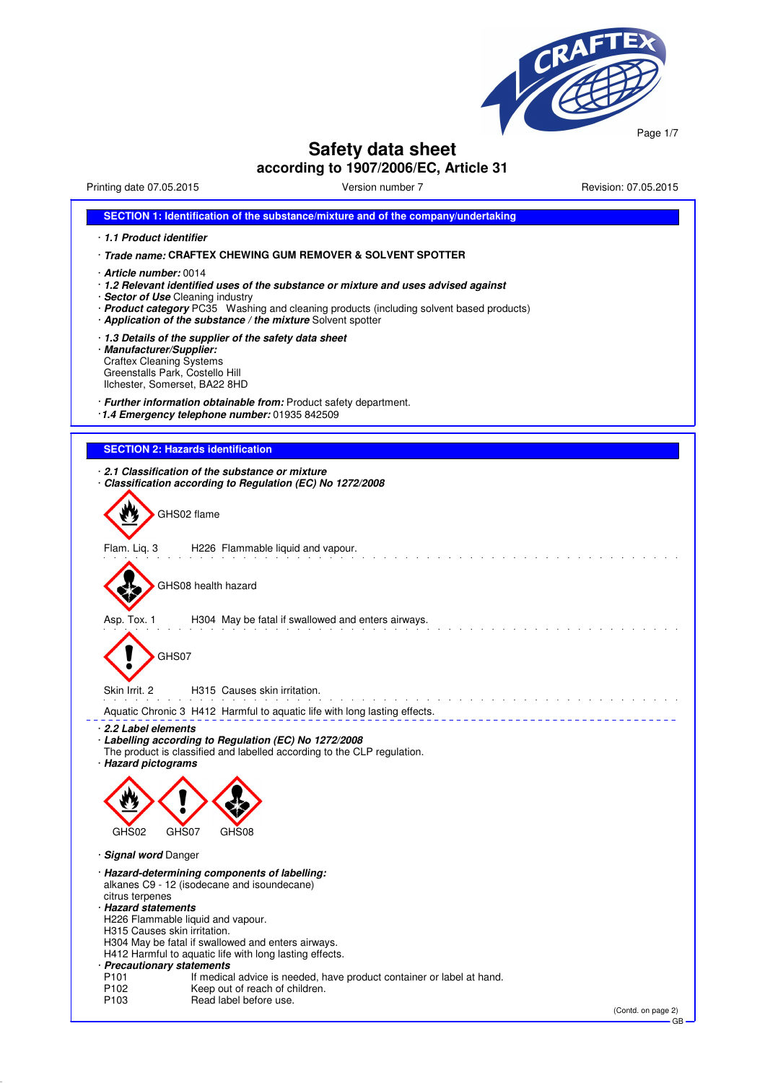

# **Safety data sheet**

**according to 1907/2006/EC, Article 31**

Printing date 07.05.2015 Version number 7 Revision: 07.05.2015

| SECTION 1: Identification of the substance/mixture and of the company/undertaking                                                                                                                                                                                                                                     |
|-----------------------------------------------------------------------------------------------------------------------------------------------------------------------------------------------------------------------------------------------------------------------------------------------------------------------|
| 1.1 Product identifier                                                                                                                                                                                                                                                                                                |
| · Trade name: CRAFTEX CHEWING GUM REMOVER & SOLVENT SPOTTER                                                                                                                                                                                                                                                           |
| <b>Article number:</b> 0014 -<br>· 1.2 Relevant identified uses of the substance or mixture and uses advised against<br>· Sector of Use Cleaning industry<br>· Product category PC35 Washing and cleaning products (including solvent based products)<br>· Application of the substance / the mixture Solvent spotter |
| 1.3 Details of the supplier of the safety data sheet<br>· Manufacturer/Supplier:<br><b>Craftex Cleaning Systems</b><br>Greenstalls Park, Costello Hill<br>Ilchester, Somerset, BA22 8HD                                                                                                                               |
| · Further information obtainable from: Product safety department.<br>1.4 Emergency telephone number: 01935 842509                                                                                                                                                                                                     |
| <b>SECTION 2: Hazards identification</b>                                                                                                                                                                                                                                                                              |
|                                                                                                                                                                                                                                                                                                                       |
| 2.1 Classification of the substance or mixture<br>Classification according to Regulation (EC) No 1272/2008                                                                                                                                                                                                            |
|                                                                                                                                                                                                                                                                                                                       |
| GHS02 flame                                                                                                                                                                                                                                                                                                           |
| Flam. Liq. 3<br>H226 Flammable liquid and vapour.                                                                                                                                                                                                                                                                     |
|                                                                                                                                                                                                                                                                                                                       |
| GHS08 health hazard                                                                                                                                                                                                                                                                                                   |
| Asp. Tox. 1<br>H304 May be fatal if swallowed and enters airways.                                                                                                                                                                                                                                                     |
| GHS07                                                                                                                                                                                                                                                                                                                 |
| Skin Irrit. 2<br>H315 Causes skin irritation.                                                                                                                                                                                                                                                                         |
| Aquatic Chronic 3 H412 Harmful to aquatic life with long lasting effects.                                                                                                                                                                                                                                             |
| 2.2 Label elements<br>· Labelling according to Regulation (EC) No 1272/2008<br>The product is classified and labelled according to the CLP regulation.<br>· Hazard pictograms                                                                                                                                         |
| $\mathbf{A}$ and $\mathbf{A}$                                                                                                                                                                                                                                                                                         |
| GHS02<br>GHS07<br>GHS08                                                                                                                                                                                                                                                                                               |
| · Signal word Danger                                                                                                                                                                                                                                                                                                  |
| · Hazard-determining components of labelling:<br>alkanes C9 - 12 (isodecane and isoundecane)<br>citrus terpenes<br>· Hazard statements                                                                                                                                                                                |
| H226 Flammable liquid and vapour.                                                                                                                                                                                                                                                                                     |
| H315 Causes skin irritation.<br>H304 May be fatal if swallowed and enters airways.<br>H412 Harmful to aquatic life with long lasting effects.                                                                                                                                                                         |
| · Precautionary statements                                                                                                                                                                                                                                                                                            |
| P <sub>101</sub><br>If medical advice is needed, have product container or label at hand.<br>P <sub>102</sub><br>Keep out of reach of children.                                                                                                                                                                       |
| Read label before use.<br>P <sub>103</sub>                                                                                                                                                                                                                                                                            |
| (Contd. on page 2)<br>GB                                                                                                                                                                                                                                                                                              |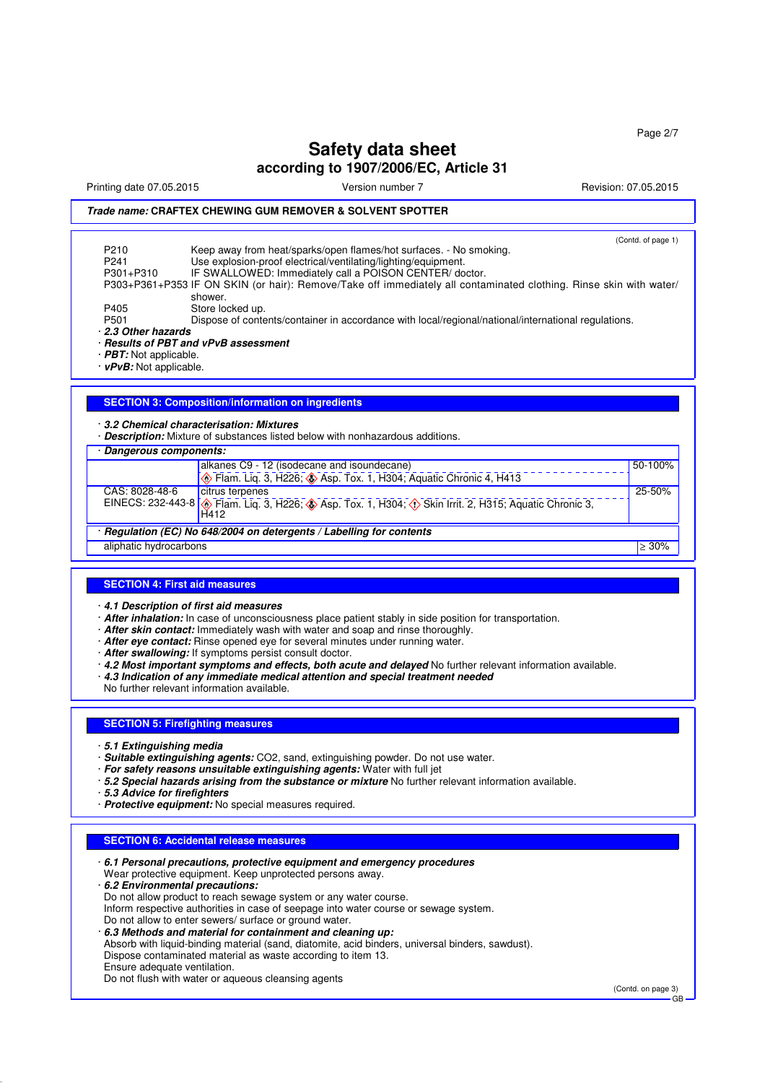Printing date 07.05.2015 Version number 7 Revision: 07.05.2015

## *Trade name:* **CRAFTEX CHEWING GUM REMOVER & SOLVENT SPOTTER**

(Contd. of page 1) P210 Keep away from heat/sparks/open flames/hot surfaces. - No smoking.<br>P241 Ise explosion-proof electrical/ventilation/lighting/equipment P241 Use explosion-proof electrical/ventilating/lighting/equipment.<br>P301+P310 IF SWALLOWED: Immediately call a POISON CENTER/do IF SWALLOWED: Immediately call a POISON CENTER/ doctor. P303+P361+P353 IF ON SKIN (or hair): Remove/Take off immediately all contaminated clothing. Rinse skin with water/ shower. P405 Store locked up.<br>P501 Dispose of conte Dispose of contents/container in accordance with local/regional/national/international regulations. · *2.3 Other hazards* · *Results of PBT and vPvB assessment* · *PBT:* Not applicable. · *vPvB:* Not applicable.

### **SECTION 3: Composition/information on ingredients**

#### · *3.2 Chemical characterisation: Mixtures*

· *Description:* Mixture of substances listed below with nonhazardous additions.

#### · *Dangerous components:*

|                                                                    | alkanes C9 - 12 (isodecane and isoundecane)                                                                                         | $50-100%$ |  |  |
|--------------------------------------------------------------------|-------------------------------------------------------------------------------------------------------------------------------------|-----------|--|--|
|                                                                    | <b>Example 13</b> , H226; <b>(a)</b> Asp. Tox. 1, H304; Aquatic Chronic 4, H413                                                     |           |  |  |
| CAS: 8028-48-6                                                     | citrus terpenes                                                                                                                     | 25-50%    |  |  |
|                                                                    | EINECS: 232-443-8 <b>6</b> Flam. Liq. 3, H226; <b>4</b> Asp. Tox. 1, H304; <b>6</b> Skin Irrit. 2, H315; Aquatic Chronic 3,<br>H412 |           |  |  |
| Regulation (EC) No 648/2004 on detergents / Labelling for contents |                                                                                                                                     |           |  |  |
| aliphatic hydrocarbons                                             |                                                                                                                                     | $> 30\%$  |  |  |

### **SECTION 4: First aid measures**

· *4.1 Description of first aid measures*

- · *After inhalation:* In case of unconsciousness place patient stably in side position for transportation.
- · *After skin contact:* Immediately wash with water and soap and rinse thoroughly.
- · *After eye contact:* Rinse opened eye for several minutes under running water.
- · *After swallowing:* If symptoms persist consult doctor.
- · *4.2 Most important symptoms and effects, both acute and delayed* No further relevant information available.
- · *4.3 Indication of any immediate medical attention and special treatment needed*

No further relevant information available.

### **SECTION 5: Firefighting measures**

- · *5.1 Extinguishing media*
- · *Suitable extinguishing agents:* CO2, sand, extinguishing powder. Do not use water.
- · *For safety reasons unsuitable extinguishing agents:* Water with full jet
- · *5.2 Special hazards arising from the substance or mixture* No further relevant information available.
- · *5.3 Advice for firefighters*
- · *Protective equipment:* No special measures required.

#### **SECTION 6: Accidental release measures**

· *6.1 Personal precautions, protective equipment and emergency procedures* Wear protective equipment. Keep unprotected persons away. · *6.2 Environmental precautions:* Do not allow product to reach sewage system or any water course. Inform respective authorities in case of seepage into water course or sewage system. Do not allow to enter sewers/ surface or ground water. · *6.3 Methods and material for containment and cleaning up:* Absorb with liquid-binding material (sand, diatomite, acid binders, universal binders, sawdust). Dispose contaminated material as waste according to item 13. Ensure adequate ventilation.

Do not flush with water or aqueous cleansing agents

(Contd. on page 3)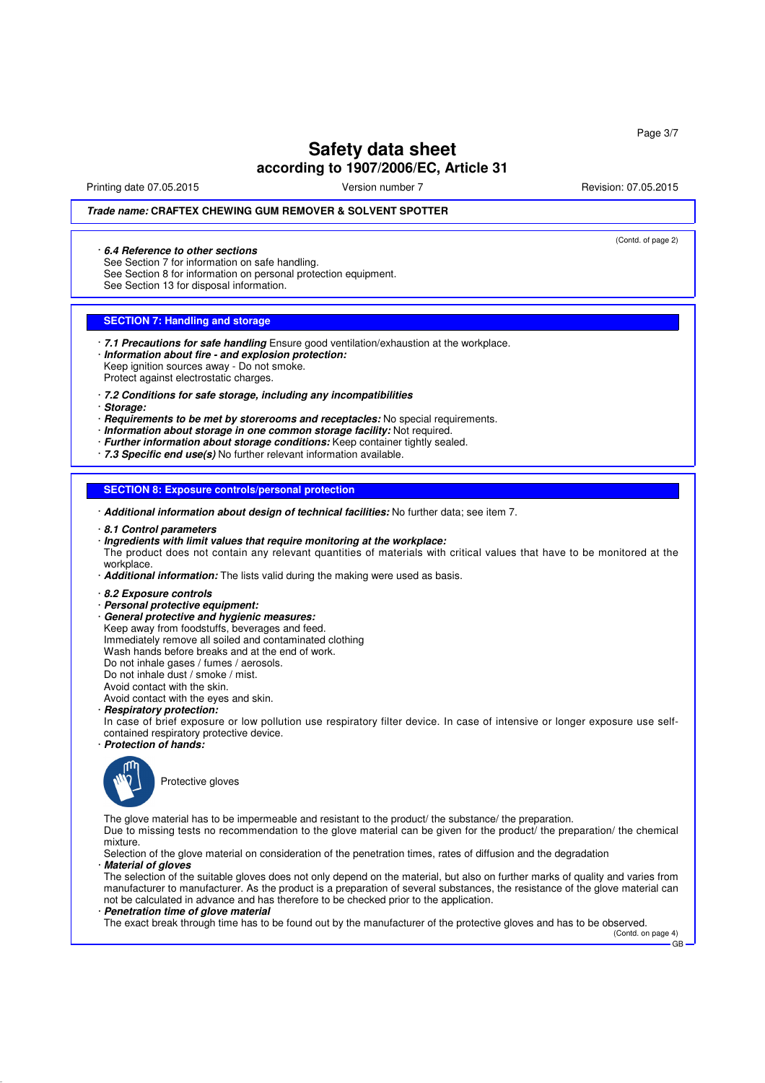Printing date 07.05.2015 Version number 7 Revision: 07.05.2015

(Contd. of page 2)

## *Trade name:* **CRAFTEX CHEWING GUM REMOVER & SOLVENT SPOTTER**

#### · *6.4 Reference to other sections*

See Section 7 for information on safe handling.

See Section 8 for information on personal protection equipment.

See Section 13 for disposal information.

### **SECTION 7: Handling and storage**

· *7.1 Precautions for safe handling* Ensure good ventilation/exhaustion at the workplace. · *Information about fire - and explosion protection:* Keep ignition sources away - Do not smoke. Protect against electrostatic charges.

- · *7.2 Conditions for safe storage, including any incompatibilities*
- · *Storage:*

· *Requirements to be met by storerooms and receptacles:* No special requirements.

- · *Information about storage in one common storage facility:* Not required.
- · *Further information about storage conditions:* Keep container tightly sealed.
- · *7.3 Specific end use(s)* No further relevant information available.

**SECTION 8: Exposure controls/personal protection**

· *Additional information about design of technical facilities:* No further data; see item 7.

· *8.1 Control parameters*

### · *Ingredients with limit values that require monitoring at the workplace:*

The product does not contain any relevant quantities of materials with critical values that have to be monitored at the workplace

· *Additional information:* The lists valid during the making were used as basis.

- · *8.2 Exposure controls*
- · *Personal protective equipment:*
- · *General protective and hygienic measures:*

Keep away from foodstuffs, beverages and feed.

Immediately remove all soiled and contaminated clothing

Wash hands before breaks and at the end of work.

Do not inhale gases / fumes / aerosols.

Do not inhale dust / smoke / mist.

Avoid contact with the skin.

Avoid contact with the eyes and skin.

# · *Respiratory protection:*

In case of brief exposure or low pollution use respiratory filter device. In case of intensive or longer exposure use selfcontained respiratory protective device.

· *Protection of hands:*



Protective gloves

The glove material has to be impermeable and resistant to the product/ the substance/ the preparation.

Due to missing tests no recommendation to the glove material can be given for the product/ the preparation/ the chemical mixture.

Selection of the glove material on consideration of the penetration times, rates of diffusion and the degradation · *Material of gloves*

The selection of the suitable gloves does not only depend on the material, but also on further marks of quality and varies from manufacturer to manufacturer. As the product is a preparation of several substances, the resistance of the glove material can not be calculated in advance and has therefore to be checked prior to the application.

· *Penetration time of glove material*

The exact break through time has to be found out by the manufacturer of the protective gloves and has to be observed.

(Contd. on page 4) GB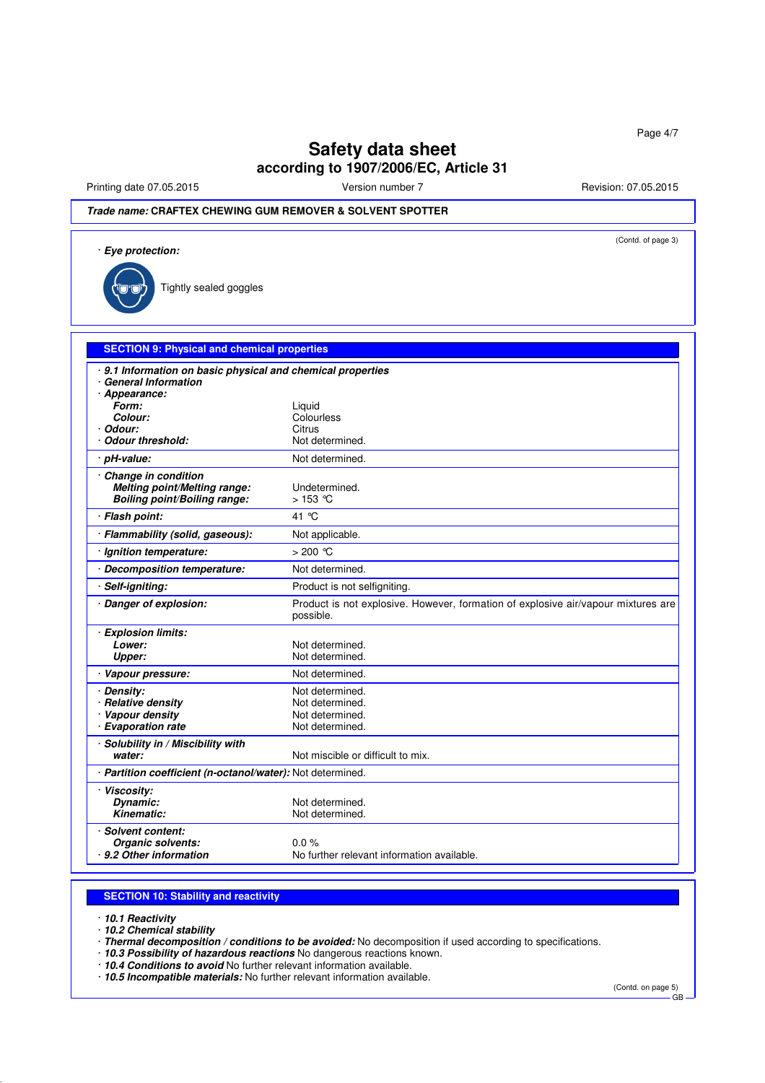Printing date 07.05.2015 **Version number 7** Newslet 2010 107.05.2015

# *Trade name:* **CRAFTEX CHEWING GUM REMOVER & SOLVENT SPOTTER**

| · Eye protection:                                                                                     | (Contd. of page 3)                                                                             |  |  |
|-------------------------------------------------------------------------------------------------------|------------------------------------------------------------------------------------------------|--|--|
| Tightly sealed goggles                                                                                |                                                                                                |  |  |
| <b>SECTION 9: Physical and chemical properties</b>                                                    |                                                                                                |  |  |
| ⋅ 9.1 Information on basic physical and chemical properties<br>· General Information<br>· Appearance: |                                                                                                |  |  |
| Form:<br>Colour:                                                                                      | Liquid<br>Colourless                                                                           |  |  |
| · Odour:<br><b>Odour threshold:</b>                                                                   | Citrus<br>Not determined.                                                                      |  |  |
| · pH-value:                                                                                           | Not determined.                                                                                |  |  |
| Change in condition<br>Melting point/Melting range:<br><b>Boiling point/Boiling range:</b>            | Undetermined.<br>$>153$ °C                                                                     |  |  |
| · Flash point:                                                                                        | 41 °C                                                                                          |  |  |
| · Flammability (solid, gaseous):                                                                      | Not applicable.                                                                                |  |  |
| · Ignition temperature:                                                                               | $>200$ °C                                                                                      |  |  |
| · Decomposition temperature:                                                                          | Not determined.                                                                                |  |  |
| · Self-igniting:                                                                                      | Product is not selfigniting.                                                                   |  |  |
| · Danger of explosion:                                                                                | Product is not explosive. However, formation of explosive air/vapour mixtures are<br>possible. |  |  |
| · Explosion limits:<br>Lower:<br>Upper:                                                               | Not determined.<br>Not determined.                                                             |  |  |
| · Vapour pressure:                                                                                    | Not determined.                                                                                |  |  |
| · Density:<br>· Relative density<br>· Vapour density<br>· Evaporation rate                            | Not determined.<br>Not determined.<br>Not determined.<br>Not determined.                       |  |  |
| · Solubility in / Miscibility with<br>water:                                                          | Not miscible or difficult to mix.                                                              |  |  |
|                                                                                                       | · Partition coefficient (n-octanol/water): Not determined.                                     |  |  |
| · Viscosity:<br>Dynamic:<br><b>Kinematic:</b>                                                         | Not determined.<br>Not determined.                                                             |  |  |
| · Solvent content:<br>Organic solvents:<br>9.2 Other information                                      | $0.0\%$<br>No further relevant information available.                                          |  |  |

### **SECTION 10: Stability and reactivity**

· *10.1 Reactivity*

· *10.2 Chemical stability*

· *Thermal decomposition / conditions to be avoided:* No decomposition if used according to specifications.

· *10.3 Possibility of hazardous reactions* No dangerous reactions known.

· *10.4 Conditions to avoid* No further relevant information available.

· *10.5 Incompatible materials:* No further relevant information available.

(Contd. on page 5)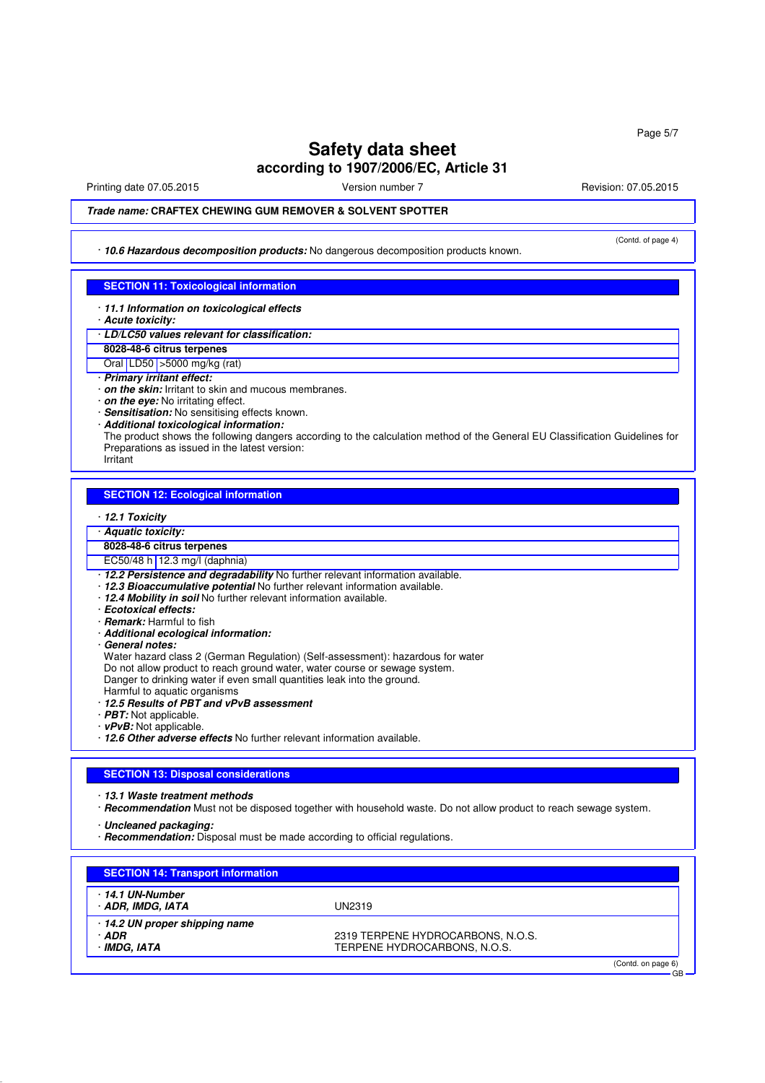Printing date 07.05.2015 Version number 7 Revision: 07.05.2015 Revision: 07.05.2015

(Contd. of page 4)

### *Trade name:* **CRAFTEX CHEWING GUM REMOVER & SOLVENT SPOTTER**

· *10.6 Hazardous decomposition products:* No dangerous decomposition products known.

### **SECTION 11: Toxicological information**

- · *11.1 Information on toxicological effects*
- · *Acute toxicity:*
- · *LD/LC50 values relevant for classification:*
- **8028-48-6 citrus terpenes**
- Oral LD50 >5000 mg/kg (rat)
- · *Primary irritant effect:*
- · *on the skin:* Irritant to skin and mucous membranes.
- · *on the eye:* No irritating effect.
- · *Sensitisation:* No sensitising effects known.
- · *Additional toxicological information:*
- The product shows the following dangers according to the calculation method of the General EU Classification Guidelines for Preparations as issued in the latest version:
- Irritant

#### **SECTION 12: Ecological information**

- · *12.1 Toxicity*
- · *Aquatic toxicity:*
- **8028-48-6 citrus terpenes**
- EC50/48 h 12.3 mg/l (daphnia)
- · *12.2 Persistence and degradability* No further relevant information available.
- · *12.3 Bioaccumulative potential* No further relevant information available.
- · *12.4 Mobility in soil* No further relevant information available.
- · *Ecotoxical effects:*
- · *Remark:* Harmful to fish
- · *Additional ecological information:*
- · *General notes:*

Water hazard class 2 (German Regulation) (Self-assessment): hazardous for water

- Do not allow product to reach ground water, water course or sewage system.
- Danger to drinking water if even small quantities leak into the ground.
- Harmful to aquatic organisms
- · *12.5 Results of PBT and vPvB assessment*
- · *PBT:* Not applicable.
- · *vPvB:* Not applicable.
- · *12.6 Other adverse effects* No further relevant information available.

#### **SECTION 13: Disposal considerations**

- · *13.1 Waste treatment methods*
- · *Recommendation* Must not be disposed together with household waste. Do not allow product to reach sewage system.

· *Uncleaned packaging:*

· *Recommendation:* Disposal must be made according to official regulations.

| <b>SECTION 14: Transport information</b>              |                                                                   |                                 |
|-------------------------------------------------------|-------------------------------------------------------------------|---------------------------------|
| 14.1 UN-Number<br>· ADR, IMDG, IATA                   | UN2319                                                            |                                 |
| 14.2 UN proper shipping name<br>· ADR<br>· IMDG. IATA | 2319 TERPENE HYDROCARBONS, N.O.S.<br>TERPENE HYDROCARBONS, N.O.S. |                                 |
|                                                       |                                                                   | (Contd. on page 6)<br><b>GB</b> |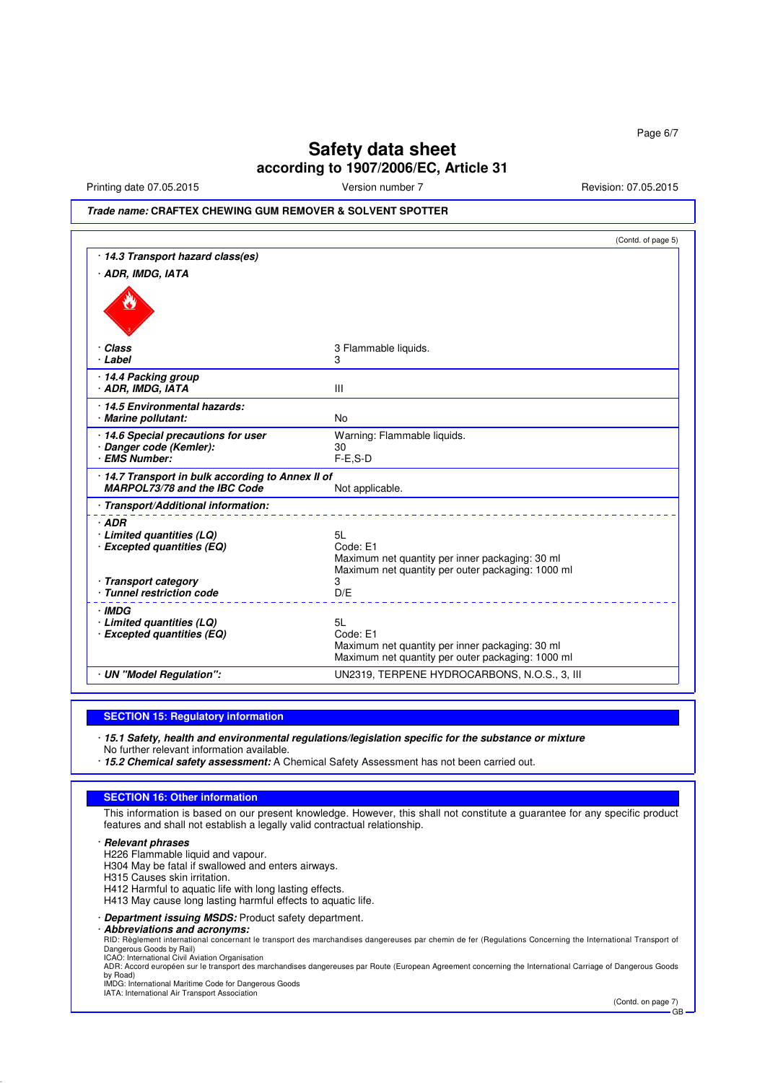Printing date 07.05.2015 **Version number 7** Newslet 2015 **Revision: 07.05.2015** 

## *Trade name:* **CRAFTEX CHEWING GUM REMOVER & SOLVENT SPOTTER**

|                                                                                        | (Contd. of page 5)                                                                                                     |
|----------------------------------------------------------------------------------------|------------------------------------------------------------------------------------------------------------------------|
| · 14.3 Transport hazard class(es)                                                      |                                                                                                                        |
| · ADR, IMDG, IATA                                                                      |                                                                                                                        |
|                                                                                        |                                                                                                                        |
| · Class                                                                                | 3 Flammable liquids.                                                                                                   |
| · Label                                                                                | 3                                                                                                                      |
| · 14.4 Packing group<br>· ADR, IMDG, IATA                                              | Ш                                                                                                                      |
| 14.5 Environmental hazards:<br>· Marine pollutant:                                     | <b>No</b>                                                                                                              |
| 14.6 Special precautions for user                                                      | Warning: Flammable liquids.                                                                                            |
| · Danger code (Kemler):                                                                | 30                                                                                                                     |
| · EMS Number:                                                                          | $F-E$ , $S-D$                                                                                                          |
| 14.7 Transport in bulk according to Annex II of<br><b>MARPOL73/78 and the IBC Code</b> | Not applicable.                                                                                                        |
| · Transport/Additional information:                                                    |                                                                                                                        |
| $·$ ADR<br>· Limited quantities (LQ)<br>· Excepted quantities (EQ)                     | 5L<br>Code: E1<br>Maximum net quantity per inner packaging: 30 ml<br>Maximum net quantity per outer packaging: 1000 ml |
| · Transport category<br>· Tunnel restriction code                                      | 3<br>D/E                                                                                                               |
| · IMDG<br>$\cdot$ Limited quantities (LQ)                                              | 5L                                                                                                                     |
| · Excepted quantities (EQ)                                                             | Code: E1                                                                                                               |
|                                                                                        | Maximum net quantity per inner packaging: 30 ml<br>Maximum net quantity per outer packaging: 1000 ml                   |
| · UN "Model Requiation":                                                               | UN2319, TERPENE HYDROCARBONS, N.O.S., 3, III                                                                           |

### **SECTION 15: Regulatory information**

· *15.1 Safety, health and environmental regulations/legislation specific for the substance or mixture*

No further relevant information available.

· *15.2 Chemical safety assessment:* A Chemical Safety Assessment has not been carried out.

### **SECTION 16: Other information**

This information is based on our present knowledge. However, this shall not constitute a guarantee for any specific product features and shall not establish a legally valid contractual relationship.

· *Relevant phrases*

H226 Flammable liquid and vapour.

H304 May be fatal if swallowed and enters airways.

H315 Causes skin irritation.

H412 Harmful to aquatic life with long lasting effects.

H413 May cause long lasting harmful effects to aquatic life.

· *Department issuing MSDS:* Product safety department.

· *Abbreviations and acronyms:*

RID: Règlement international concernant le transport des marchandises dangereuses par chemin de fer (Regulations Concerning the International Transport of<br>Dangerous Goods by Rail)<br>ICAO: International Civil Aviation Organis

ADR: Accord européen sur le transport des marchandises dangereuses par Route (European Agreement concerning the International Carriage of Dangerous Goods<br>by Road)<br>IMDG: International Maritime Code for Dangerous Goods

(Contd. on page 7) GB